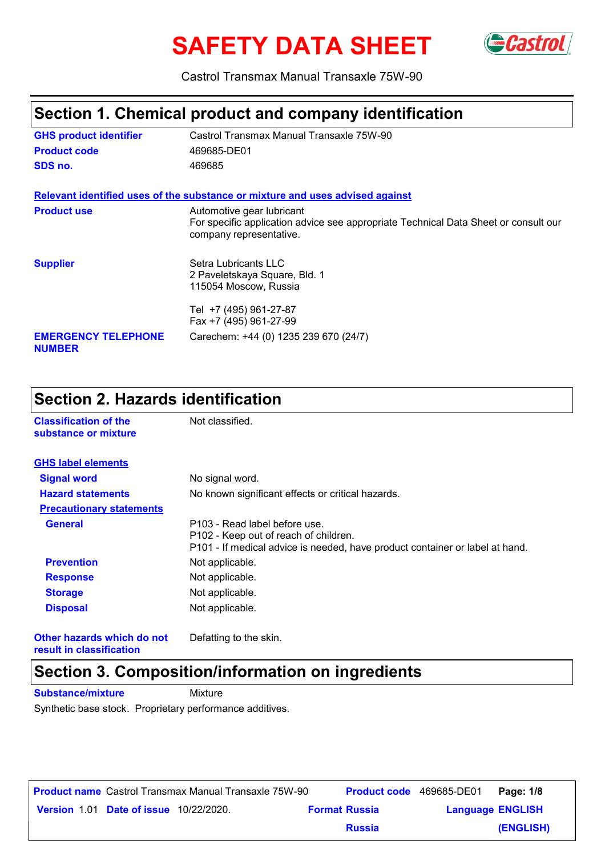# **SAFETY DATA SHEET** GCastrol



Castrol Transmax Manual Transaxle 75W-90

### **Section 1. Chemical product and company identification**

| <b>GHS product identifier</b>               | Castrol Transmax Manual Transaxle 75W-90                                                                                                    |
|---------------------------------------------|---------------------------------------------------------------------------------------------------------------------------------------------|
| <b>Product code</b>                         | 469685-DE01                                                                                                                                 |
| SDS no.                                     | 469685                                                                                                                                      |
|                                             | Relevant identified uses of the substance or mixture and uses advised against                                                               |
| <b>Product use</b>                          | Automotive gear lubricant<br>For specific application advice see appropriate Technical Data Sheet or consult our<br>company representative. |
| <b>Supplier</b>                             | Setra Lubricants LLC<br>2 Paveletskaya Square, Bld. 1<br>115054 Moscow, Russia                                                              |
|                                             | Tel +7 (495) 961-27-87<br>Fax +7 (495) 961-27-99                                                                                            |
| <b>EMERGENCY TELEPHONE</b><br><b>NUMBER</b> | Carechem: +44 (0) 1235 239 670 (24/7)                                                                                                       |

#### **Section 2. Hazards identification**

| <b>Classification of the</b><br>substance or mixture | Not classified.                                                                                                                                        |
|------------------------------------------------------|--------------------------------------------------------------------------------------------------------------------------------------------------------|
| <b>GHS label elements</b>                            |                                                                                                                                                        |
| <b>Signal word</b>                                   | No signal word.                                                                                                                                        |
| <b>Hazard statements</b>                             | No known significant effects or critical hazards.                                                                                                      |
| <b>Precautionary statements</b>                      |                                                                                                                                                        |
| <b>General</b>                                       | P103 - Read label before use.<br>P102 - Keep out of reach of children.<br>P101 - If medical advice is needed, have product container or label at hand. |
| <b>Prevention</b>                                    | Not applicable.                                                                                                                                        |
| <b>Response</b>                                      | Not applicable.                                                                                                                                        |
| <b>Storage</b>                                       | Not applicable.                                                                                                                                        |
| <b>Disposal</b>                                      | Not applicable.                                                                                                                                        |
| Other hazards which do not                           | Defatting to the skin.                                                                                                                                 |

**result in classification**

#### **Section 3. Composition/information on ingredients**

**Substance/mixture** Mixture Synthetic base stock. Proprietary performance additives.

| <b>Product name</b> Castrol Transmax Manual Transaxle 75W-90 |                                               |  |                      | <b>Product code</b> 469685-DE01 |                         | Page: 1/8 |
|--------------------------------------------------------------|-----------------------------------------------|--|----------------------|---------------------------------|-------------------------|-----------|
|                                                              | <b>Version 1.01 Date of issue 10/22/2020.</b> |  | <b>Format Russia</b> |                                 | <b>Language ENGLISH</b> |           |
|                                                              |                                               |  |                      | <b>Russia</b>                   |                         | (ENGLISH) |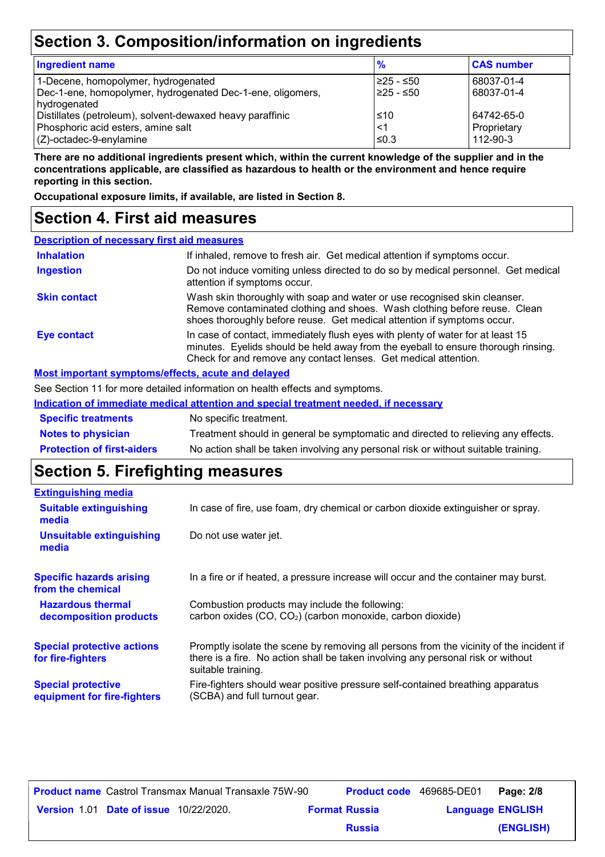# **Section 3. Composition/information on ingredients**

| <b>Ingredient name</b>                                                                                                                        | $\frac{9}{6}$            | <b>CAS number</b>                     |
|-----------------------------------------------------------------------------------------------------------------------------------------------|--------------------------|---------------------------------------|
| 1-Decene, homopolymer, hydrogenated<br>Dec-1-ene, homopolymer, hydrogenated Dec-1-ene, oligomers,                                             | l≥25 - ≤50<br>l≥25 - ≤50 | 68037-01-4<br>68037-01-4              |
| hydrogenated<br>Distillates (petroleum), solvent-dewaxed heavy paraffinic<br>Phosphoric acid esters, amine salt<br>$(Z)$ -octadec-9-enylamine | $≤10$<br><1<br>$≤0.3$    | 64742-65-0<br>Proprietary<br>112-90-3 |

**There are no additional ingredients present which, within the current knowledge of the supplier and in the concentrations applicable, are classified as hazardous to health or the environment and hence require reporting in this section.**

**Occupational exposure limits, if available, are listed in Section 8.**

#### **Section 4. First aid measures**

| <b>Description of necessary first aid measures</b> |                                                                                                                                                                                                                                         |
|----------------------------------------------------|-----------------------------------------------------------------------------------------------------------------------------------------------------------------------------------------------------------------------------------------|
| <b>Inhalation</b>                                  | If inhaled, remove to fresh air. Get medical attention if symptoms occur.                                                                                                                                                               |
| <b>Ingestion</b>                                   | Do not induce vomiting unless directed to do so by medical personnel. Get medical<br>attention if symptoms occur.                                                                                                                       |
| <b>Skin contact</b>                                | Wash skin thoroughly with soap and water or use recognised skin cleanser.<br>Remove contaminated clothing and shoes. Wash clothing before reuse. Clean<br>shoes thoroughly before reuse. Get medical attention if symptoms occur.       |
| <b>Eye contact</b>                                 | In case of contact, immediately flush eyes with plenty of water for at least 15<br>minutes. Eyelids should be held away from the eyeball to ensure thorough rinsing.<br>Check for and remove any contact lenses. Get medical attention. |
|                                                    | Most important symptoms/effects, acute and delayed                                                                                                                                                                                      |

#### **Most important symptoms/effects, acute and delayed**

See Section 11 for more detailed information on health effects and symptoms.

|                            | Indication of immediate medical attention and special treatment needed, if necessary |
|----------------------------|--------------------------------------------------------------------------------------|
| <b>Specific treatments</b> | No specific treatment.                                                               |
| <b>Notes to physician</b>  | Treatment should in general be symptomatic and directed to relieving any effects.    |

| <b>Protection of first-aiders</b> | No action shall be taken involving any personal risk or without suitable training. |  |
|-----------------------------------|------------------------------------------------------------------------------------|--|
|                                   |                                                                                    |  |

#### **Section 5. Firefighting measures**

| <b>Extinguishing media</b>                               |                                                                                                                                                                                                   |
|----------------------------------------------------------|---------------------------------------------------------------------------------------------------------------------------------------------------------------------------------------------------|
| <b>Suitable extinguishing</b><br>media                   | In case of fire, use foam, dry chemical or carbon dioxide extinguisher or spray.                                                                                                                  |
| <b>Unsuitable extinguishing</b><br>media                 | Do not use water jet.                                                                                                                                                                             |
| <b>Specific hazards arising</b><br>from the chemical     | In a fire or if heated, a pressure increase will occur and the container may burst.                                                                                                               |
| <b>Hazardous thermal</b><br>decomposition products       | Combustion products may include the following:<br>carbon oxides (CO, CO <sub>2</sub> ) (carbon monoxide, carbon dioxide)                                                                          |
| <b>Special protective actions</b><br>for fire-fighters   | Promptly isolate the scene by removing all persons from the vicinity of the incident if<br>there is a fire. No action shall be taken involving any personal risk or without<br>suitable training. |
| <b>Special protective</b><br>equipment for fire-fighters | Fire-fighters should wear positive pressure self-contained breathing apparatus<br>(SCBA) and full turnout gear.                                                                                   |

|                                               |  | <b>Product name</b> Castrol Transmax Manual Transaxle 75W-90 |               | <b>Product code</b> 469685-DE01 | Page: 2/8 |
|-----------------------------------------------|--|--------------------------------------------------------------|---------------|---------------------------------|-----------|
| <b>Version 1.01 Date of issue 10/22/2020.</b> |  | <b>Format Russia</b>                                         |               | <b>Language ENGLISH</b>         |           |
|                                               |  |                                                              | <b>Russia</b> |                                 | (ENGLISH) |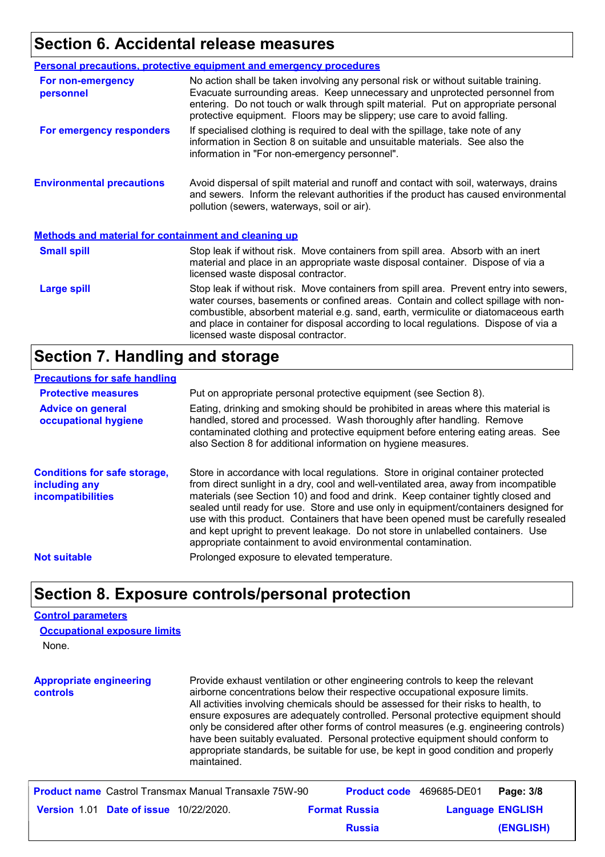#### **Section 6. Accidental release measures**

|                                                             | <b>Personal precautions, protective equipment and emergency procedures</b>                                                                                                                                                                                                                                                                                                                         |
|-------------------------------------------------------------|----------------------------------------------------------------------------------------------------------------------------------------------------------------------------------------------------------------------------------------------------------------------------------------------------------------------------------------------------------------------------------------------------|
| For non-emergency<br>personnel                              | No action shall be taken involving any personal risk or without suitable training.<br>Evacuate surrounding areas. Keep unnecessary and unprotected personnel from<br>entering. Do not touch or walk through spilt material. Put on appropriate personal<br>protective equipment. Floors may be slippery; use care to avoid falling.                                                                |
| For emergency responders                                    | If specialised clothing is required to deal with the spillage, take note of any<br>information in Section 8 on suitable and unsuitable materials. See also the<br>information in "For non-emergency personnel".                                                                                                                                                                                    |
| <b>Environmental precautions</b>                            | Avoid dispersal of spilt material and runoff and contact with soil, waterways, drains<br>and sewers. Inform the relevant authorities if the product has caused environmental<br>pollution (sewers, waterways, soil or air).                                                                                                                                                                        |
| <b>Methods and material for containment and cleaning up</b> |                                                                                                                                                                                                                                                                                                                                                                                                    |
| <b>Small spill</b>                                          | Stop leak if without risk. Move containers from spill area. Absorb with an inert<br>material and place in an appropriate waste disposal container. Dispose of via a<br>licensed waste disposal contractor.                                                                                                                                                                                         |
| <b>Large spill</b>                                          | Stop leak if without risk. Move containers from spill area. Prevent entry into sewers,<br>water courses, basements or confined areas. Contain and collect spillage with non-<br>combustible, absorbent material e.g. sand, earth, vermiculite or diatomaceous earth<br>and place in container for disposal according to local regulations. Dispose of via a<br>licensed waste disposal contractor. |

#### **Section 7. Handling and storage**

#### **Precautions for safe handling**

| <b>Protective measures</b>                                                       | Put on appropriate personal protective equipment (see Section 8).                                                                                                                                                                                                                                                                                                                                                                                                                                                                                                                              |
|----------------------------------------------------------------------------------|------------------------------------------------------------------------------------------------------------------------------------------------------------------------------------------------------------------------------------------------------------------------------------------------------------------------------------------------------------------------------------------------------------------------------------------------------------------------------------------------------------------------------------------------------------------------------------------------|
| <b>Advice on general</b><br>occupational hygiene                                 | Eating, drinking and smoking should be prohibited in areas where this material is<br>handled, stored and processed. Wash thoroughly after handling. Remove<br>contaminated clothing and protective equipment before entering eating areas. See<br>also Section 8 for additional information on hygiene measures.                                                                                                                                                                                                                                                                               |
| <b>Conditions for safe storage,</b><br>including any<br><b>incompatibilities</b> | Store in accordance with local regulations. Store in original container protected<br>from direct sunlight in a dry, cool and well-ventilated area, away from incompatible<br>materials (see Section 10) and food and drink. Keep container tightly closed and<br>sealed until ready for use. Store and use only in equipment/containers designed for<br>use with this product. Containers that have been opened must be carefully resealed<br>and kept upright to prevent leakage. Do not store in unlabelled containers. Use<br>appropriate containment to avoid environmental contamination. |
| <b>Not suitable</b>                                                              | Prolonged exposure to elevated temperature.                                                                                                                                                                                                                                                                                                                                                                                                                                                                                                                                                    |

#### **Section 8. Exposure controls/personal protection**

#### **Control parameters**

None. **Occupational exposure limits**

**Appropriate engineering controls** Provide exhaust ventilation or other engineering controls to keep the relevant airborne concentrations below their respective occupational exposure limits. All activities involving chemicals should be assessed for their risks to health, to ensure exposures are adequately controlled. Personal protective equipment should only be considered after other forms of control measures (e.g. engineering controls) have been suitably evaluated. Personal protective equipment should conform to appropriate standards, be suitable for use, be kept in good condition and properly maintained.

|                                               | <b>Product name</b> Castrol Transmax Manual Transaxle 75W-90 | <b>Product code</b> 469685-DE01 |                         | Page: 3/8 |
|-----------------------------------------------|--------------------------------------------------------------|---------------------------------|-------------------------|-----------|
| <b>Version 1.01 Date of issue 10/22/2020.</b> |                                                              | <b>Format Russia</b>            | <b>Language ENGLISH</b> |           |
|                                               |                                                              | <b>Russia</b>                   |                         | (ENGLISH) |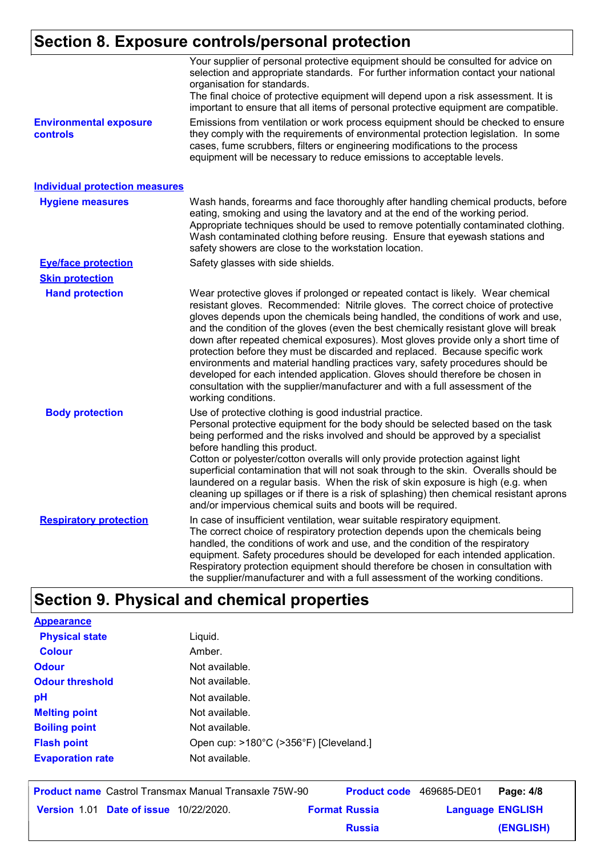# **Section 8. Exposure controls/personal protection**

|                                           | Your supplier of personal protective equipment should be consulted for advice on<br>selection and appropriate standards. For further information contact your national<br>organisation for standards.<br>The final choice of protective equipment will depend upon a risk assessment. It is<br>important to ensure that all items of personal protective equipment are compatible.                                                                                                                                                                                                                                                                                                                                                                                                              |
|-------------------------------------------|-------------------------------------------------------------------------------------------------------------------------------------------------------------------------------------------------------------------------------------------------------------------------------------------------------------------------------------------------------------------------------------------------------------------------------------------------------------------------------------------------------------------------------------------------------------------------------------------------------------------------------------------------------------------------------------------------------------------------------------------------------------------------------------------------|
| <b>Environmental exposure</b><br>controls | Emissions from ventilation or work process equipment should be checked to ensure<br>they comply with the requirements of environmental protection legislation. In some<br>cases, fume scrubbers, filters or engineering modifications to the process<br>equipment will be necessary to reduce emissions to acceptable levels.                                                                                                                                                                                                                                                                                                                                                                                                                                                                   |
| <b>Individual protection measures</b>     |                                                                                                                                                                                                                                                                                                                                                                                                                                                                                                                                                                                                                                                                                                                                                                                                 |
| <b>Hygiene measures</b>                   | Wash hands, forearms and face thoroughly after handling chemical products, before<br>eating, smoking and using the lavatory and at the end of the working period.<br>Appropriate techniques should be used to remove potentially contaminated clothing.<br>Wash contaminated clothing before reusing. Ensure that eyewash stations and<br>safety showers are close to the workstation location.                                                                                                                                                                                                                                                                                                                                                                                                 |
| <b>Eye/face protection</b>                | Safety glasses with side shields.                                                                                                                                                                                                                                                                                                                                                                                                                                                                                                                                                                                                                                                                                                                                                               |
| <b>Skin protection</b>                    |                                                                                                                                                                                                                                                                                                                                                                                                                                                                                                                                                                                                                                                                                                                                                                                                 |
| <b>Hand protection</b>                    | Wear protective gloves if prolonged or repeated contact is likely. Wear chemical<br>resistant gloves. Recommended: Nitrile gloves. The correct choice of protective<br>gloves depends upon the chemicals being handled, the conditions of work and use,<br>and the condition of the gloves (even the best chemically resistant glove will break<br>down after repeated chemical exposures). Most gloves provide only a short time of<br>protection before they must be discarded and replaced. Because specific work<br>environments and material handling practices vary, safety procedures should be<br>developed for each intended application. Gloves should therefore be chosen in<br>consultation with the supplier/manufacturer and with a full assessment of the<br>working conditions. |
| <b>Body protection</b>                    | Use of protective clothing is good industrial practice.<br>Personal protective equipment for the body should be selected based on the task<br>being performed and the risks involved and should be approved by a specialist<br>before handling this product.<br>Cotton or polyester/cotton overalls will only provide protection against light<br>superficial contamination that will not soak through to the skin. Overalls should be<br>laundered on a regular basis. When the risk of skin exposure is high (e.g. when<br>cleaning up spillages or if there is a risk of splashing) then chemical resistant aprons<br>and/or impervious chemical suits and boots will be required.                                                                                                           |
| <b>Respiratory protection</b>             | In case of insufficient ventilation, wear suitable respiratory equipment.<br>The correct choice of respiratory protection depends upon the chemicals being<br>handled, the conditions of work and use, and the condition of the respiratory<br>equipment. Safety procedures should be developed for each intended application.<br>Respiratory protection equipment should therefore be chosen in consultation with<br>the supplier/manufacturer and with a full assessment of the working conditions.                                                                                                                                                                                                                                                                                           |

# **Section 9. Physical and chemical properties**

| <b>Appearance</b>       |                                        |
|-------------------------|----------------------------------------|
| <b>Physical state</b>   | Liquid.                                |
| Colour                  | Amber.                                 |
| <b>Odour</b>            | Not available.                         |
| <b>Odour threshold</b>  | Not available.                         |
| рH                      | Not available.                         |
| <b>Melting point</b>    | Not available.                         |
| <b>Boiling point</b>    | Not available.                         |
| <b>Flash point</b>      | Open cup: >180°C (>356°F) [Cleveland.] |
| <b>Evaporation rate</b> | Not available.                         |
|                         |                                        |

|                                               | <b>Product name</b> Castrol Transmax Manual Transaxle 75W-90 |                      | <b>Product code</b> 469685-DE01 |                         | Page: 4/8 |
|-----------------------------------------------|--------------------------------------------------------------|----------------------|---------------------------------|-------------------------|-----------|
| <b>Version 1.01 Date of issue 10/22/2020.</b> |                                                              | <b>Format Russia</b> |                                 | <b>Language ENGLISH</b> |           |
|                                               |                                                              |                      | <b>Russia</b>                   |                         | (ENGLISH) |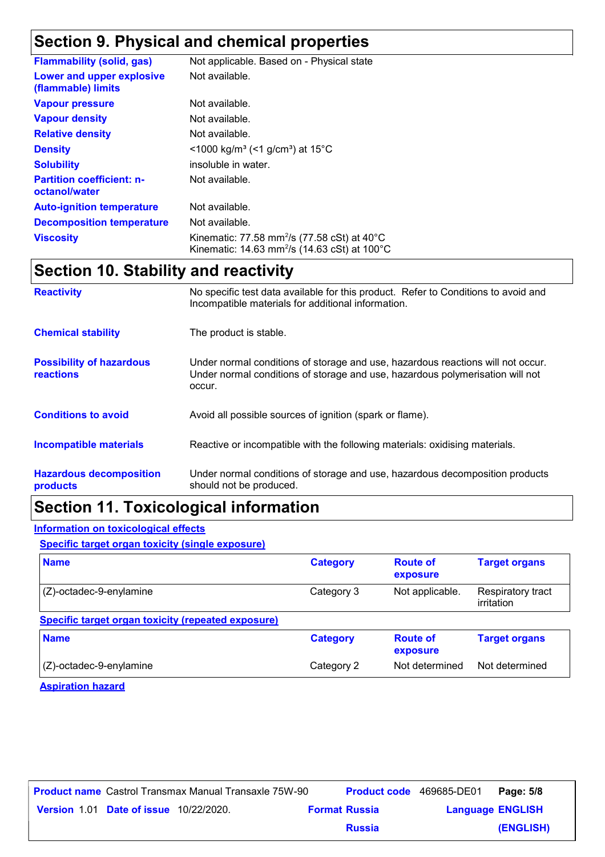## **Section 9. Physical and chemical properties**

| <b>Flammability (solid, gas)</b>                  | Not applicable. Based on - Physical state                                                                                                |
|---------------------------------------------------|------------------------------------------------------------------------------------------------------------------------------------------|
| Lower and upper explosive<br>(flammable) limits   | Not available.                                                                                                                           |
| <b>Vapour pressure</b>                            | Not available.                                                                                                                           |
| <b>Vapour density</b>                             | Not available.                                                                                                                           |
| <b>Relative density</b>                           | Not available.                                                                                                                           |
| <b>Density</b>                                    | <1000 kg/m <sup>3</sup> (<1 g/cm <sup>3</sup> ) at 15 <sup>°</sup> C                                                                     |
| <b>Solubility</b>                                 | insoluble in water.                                                                                                                      |
| <b>Partition coefficient: n-</b><br>octanol/water | Not available.                                                                                                                           |
| <b>Auto-ignition temperature</b>                  | Not available.                                                                                                                           |
| <b>Decomposition temperature</b>                  | Not available.                                                                                                                           |
| <b>Viscosity</b>                                  | Kinematic: 77.58 mm <sup>2</sup> /s (77.58 cSt) at $40^{\circ}$ C<br>Kinematic: 14.63 mm <sup>2</sup> /s (14.63 cSt) at 100 $^{\circ}$ C |

### **Section 10. Stability and reactivity**

| <b>Reactivity</b>                                   | No specific test data available for this product. Refer to Conditions to avoid and<br>Incompatible materials for additional information.                                   |
|-----------------------------------------------------|----------------------------------------------------------------------------------------------------------------------------------------------------------------------------|
| <b>Chemical stability</b>                           | The product is stable.                                                                                                                                                     |
| <b>Possibility of hazardous</b><br><b>reactions</b> | Under normal conditions of storage and use, hazardous reactions will not occur.<br>Under normal conditions of storage and use, hazardous polymerisation will not<br>occur. |
| <b>Conditions to avoid</b>                          | Avoid all possible sources of ignition (spark or flame).                                                                                                                   |
| <b>Incompatible materials</b>                       | Reactive or incompatible with the following materials: oxidising materials.                                                                                                |
| <b>Hazardous decomposition</b><br>products          | Under normal conditions of storage and use, hazardous decomposition products<br>should not be produced.                                                                    |

### **Section 11. Toxicological information**

#### **Information on toxicological effects**

**Specific target organ toxicity (single exposure)**

| <b>Name</b>                                        | <b>Category</b> | <b>Route of</b><br>exposure | <b>Target organs</b>            |
|----------------------------------------------------|-----------------|-----------------------------|---------------------------------|
| $(Z)$ -octadec-9-enylamine                         | Category 3      | Not applicable.             | Respiratory tract<br>irritation |
| Specific target organ toxicity (repeated exposure) |                 |                             |                                 |
| <b>Name</b>                                        | <b>Category</b> | <b>Route of</b><br>exposure | <b>Target organs</b>            |
| $(Z)$ -octadec-9-enylamine                         | Category 2      | Not determined              | Not determined                  |

**Aspiration hazard**

|                                               | <b>Product name</b> Castrol Transmax Manual Transaxle 75W-90 |                      | <b>Product code</b> 469685-DE01 | Page: 5/8               |
|-----------------------------------------------|--------------------------------------------------------------|----------------------|---------------------------------|-------------------------|
| <b>Version 1.01 Date of issue 10/22/2020.</b> |                                                              | <b>Format Russia</b> |                                 | <b>Language ENGLISH</b> |
|                                               |                                                              | <b>Russia</b>        |                                 | (ENGLISH)               |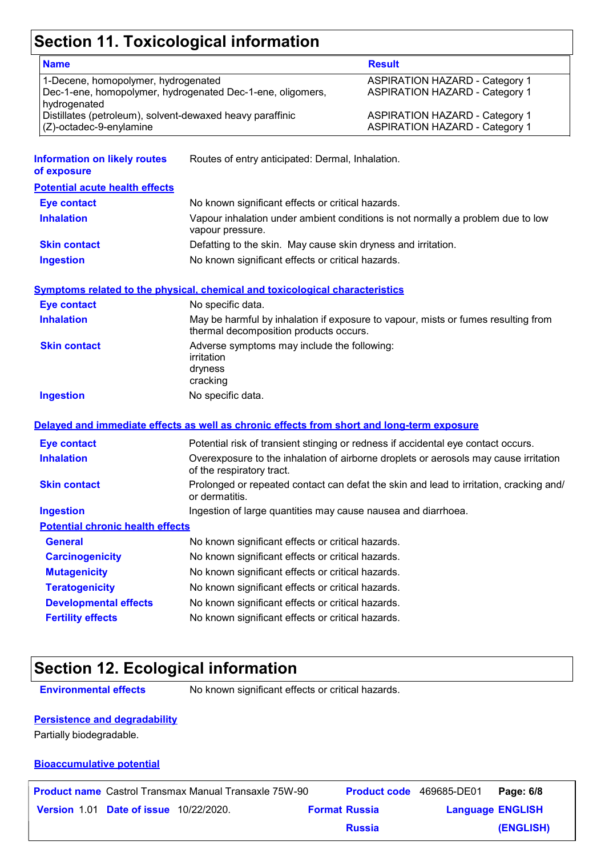### **Section 11. Toxicological information**

| <b>Name</b>                                                                                                                                                                    |                                                                                                                             | <b>Result</b>                                                                                                           |  |
|--------------------------------------------------------------------------------------------------------------------------------------------------------------------------------|-----------------------------------------------------------------------------------------------------------------------------|-------------------------------------------------------------------------------------------------------------------------|--|
| 1-Decene, homopolymer, hydrogenated<br>Dec-1-ene, homopolymer, hydrogenated Dec-1-ene, oligomers,<br>hydrogenated<br>Distillates (petroleum), solvent-dewaxed heavy paraffinic |                                                                                                                             | <b>ASPIRATION HAZARD - Category 1</b><br><b>ASPIRATION HAZARD - Category 1</b><br><b>ASPIRATION HAZARD - Category 1</b> |  |
| (Z)-octadec-9-enylamine                                                                                                                                                        |                                                                                                                             | <b>ASPIRATION HAZARD - Category 1</b>                                                                                   |  |
| <b>Information on likely routes</b><br>of exposure                                                                                                                             | Routes of entry anticipated: Dermal, Inhalation.                                                                            |                                                                                                                         |  |
| <b>Potential acute health effects</b>                                                                                                                                          |                                                                                                                             |                                                                                                                         |  |
| <b>Eye contact</b>                                                                                                                                                             | No known significant effects or critical hazards.                                                                           |                                                                                                                         |  |
| <b>Inhalation</b>                                                                                                                                                              | vapour pressure.                                                                                                            | Vapour inhalation under ambient conditions is not normally a problem due to low                                         |  |
| <b>Skin contact</b>                                                                                                                                                            | Defatting to the skin. May cause skin dryness and irritation.                                                               |                                                                                                                         |  |
| <b>Ingestion</b>                                                                                                                                                               | No known significant effects or critical hazards.                                                                           |                                                                                                                         |  |
|                                                                                                                                                                                | Symptoms related to the physical, chemical and toxicological characteristics                                                |                                                                                                                         |  |
| <b>Eye contact</b>                                                                                                                                                             | No specific data.                                                                                                           |                                                                                                                         |  |
| <b>Inhalation</b>                                                                                                                                                              | May be harmful by inhalation if exposure to vapour, mists or fumes resulting from<br>thermal decomposition products occurs. |                                                                                                                         |  |
| <b>Skin contact</b>                                                                                                                                                            | Adverse symptoms may include the following:<br>irritation<br>dryness<br>cracking                                            |                                                                                                                         |  |
| <b>Ingestion</b>                                                                                                                                                               | No specific data.                                                                                                           |                                                                                                                         |  |
|                                                                                                                                                                                | Delayed and immediate effects as well as chronic effects from short and long-term exposure                                  |                                                                                                                         |  |
| <b>Eye contact</b>                                                                                                                                                             |                                                                                                                             | Potential risk of transient stinging or redness if accidental eye contact occurs.                                       |  |
| <b>Inhalation</b>                                                                                                                                                              | of the respiratory tract.                                                                                                   | Overexposure to the inhalation of airborne droplets or aerosols may cause irritation                                    |  |
| <b>Skin contact</b>                                                                                                                                                            | Prolonged or repeated contact can defat the skin and lead to irritation, cracking and/<br>or dermatitis.                    |                                                                                                                         |  |
| <b>Ingestion</b>                                                                                                                                                               | Ingestion of large quantities may cause nausea and diarrhoea.                                                               |                                                                                                                         |  |
| <b>Potential chronic health effects</b>                                                                                                                                        |                                                                                                                             |                                                                                                                         |  |
| <b>General</b>                                                                                                                                                                 | No known significant effects or critical hazards.                                                                           |                                                                                                                         |  |
| <b>Carcinogenicity</b>                                                                                                                                                         | No known significant effects or critical hazards.                                                                           |                                                                                                                         |  |
| <b>Mutagenicity</b>                                                                                                                                                            | No known significant effects or critical hazards.                                                                           |                                                                                                                         |  |
|                                                                                                                                                                                | No known significant effects or critical hazards.                                                                           |                                                                                                                         |  |
| <b>Teratogenicity</b>                                                                                                                                                          |                                                                                                                             |                                                                                                                         |  |
| <b>Developmental effects</b>                                                                                                                                                   | No known significant effects or critical hazards.                                                                           |                                                                                                                         |  |

### **Section 12. Ecological information**

**Environmental effects** No known significant effects or critical hazards.

#### **Persistence and degradability**

Partially biodegradable.

#### **Bioaccumulative potential**

|                                               | <b>Product name</b> Castrol Transmax Manual Transaxle 75W-90 | <b>Product code</b> 469685-DE01 |                         | Page: 6/8 |
|-----------------------------------------------|--------------------------------------------------------------|---------------------------------|-------------------------|-----------|
| <b>Version 1.01 Date of issue 10/22/2020.</b> |                                                              | <b>Format Russia</b>            | <b>Language ENGLISH</b> |           |
|                                               |                                                              | <b>Russia</b>                   |                         | (ENGLISH) |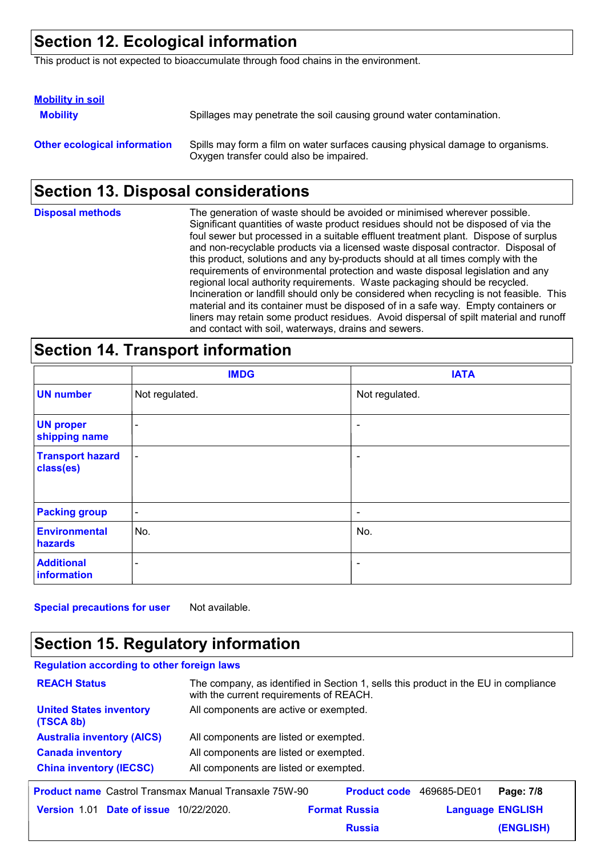### **Section 12. Ecological information**

This product is not expected to bioaccumulate through food chains in the environment.

| <b>Mobility in soil</b>             |                                                                                                                           |
|-------------------------------------|---------------------------------------------------------------------------------------------------------------------------|
| <b>Mobility</b>                     | Spillages may penetrate the soil causing ground water contamination.                                                      |
| <b>Other ecological information</b> | Spills may form a film on water surfaces causing physical damage to organisms.<br>Oxygen transfer could also be impaired. |

### **Section 13. Disposal considerations**

| <b>Disposal methods</b> | The generation of waste should be avoided or minimised wherever possible.<br>Significant quantities of waste product residues should not be disposed of via the<br>foul sewer but processed in a suitable effluent treatment plant. Dispose of surplus<br>and non-recyclable products via a licensed waste disposal contractor. Disposal of<br>this product, solutions and any by-products should at all times comply with the<br>requirements of environmental protection and waste disposal legislation and any<br>regional local authority requirements. Waste packaging should be recycled.<br>Incineration or landfill should only be considered when recycling is not feasible. This<br>material and its container must be disposed of in a safe way. Empty containers or<br>liners may retain some product residues. Avoid dispersal of spilt material and runoff |
|-------------------------|--------------------------------------------------------------------------------------------------------------------------------------------------------------------------------------------------------------------------------------------------------------------------------------------------------------------------------------------------------------------------------------------------------------------------------------------------------------------------------------------------------------------------------------------------------------------------------------------------------------------------------------------------------------------------------------------------------------------------------------------------------------------------------------------------------------------------------------------------------------------------|
|                         | and contact with soil, waterways, drains and sewers.                                                                                                                                                                                                                                                                                                                                                                                                                                                                                                                                                                                                                                                                                                                                                                                                                     |

#### **Section 14. Transport information**

|                                      | <b>IMDG</b>              | <b>IATA</b>              |
|--------------------------------------|--------------------------|--------------------------|
| <b>UN number</b>                     | Not regulated.           | Not regulated.           |
| <b>UN proper</b><br>shipping name    | $\overline{\phantom{a}}$ | $\overline{\phantom{a}}$ |
| <b>Transport hazard</b><br>class(es) | $\overline{\phantom{a}}$ | $\overline{\phantom{a}}$ |
| <b>Packing group</b>                 | $\blacksquare$           | $\overline{\phantom{a}}$ |
| <b>Environmental</b><br>hazards      | No.                      | No.                      |
| <b>Additional</b><br>information     | $\overline{\phantom{a}}$ | $\overline{\phantom{a}}$ |

**Special precautions for user** Not available.

### **Section 15. Regulatory information**

| <b>Regulation according to other foreign laws</b>            |                                                                                                                                |                      |                         |           |  |
|--------------------------------------------------------------|--------------------------------------------------------------------------------------------------------------------------------|----------------------|-------------------------|-----------|--|
| <b>REACH Status</b>                                          | The company, as identified in Section 1, sells this product in the EU in compliance<br>with the current requirements of REACH. |                      |                         |           |  |
| <b>United States inventory</b><br>(TSCA 8b)                  | All components are active or exempted.                                                                                         |                      |                         |           |  |
| <b>Australia inventory (AICS)</b>                            | All components are listed or exempted.                                                                                         |                      |                         |           |  |
| <b>Canada inventory</b>                                      | All components are listed or exempted.                                                                                         |                      |                         |           |  |
| <b>China inventory (IECSC)</b>                               | All components are listed or exempted.                                                                                         |                      |                         |           |  |
| <b>Product name</b> Castrol Transmax Manual Transaxle 75W-90 |                                                                                                                                | <b>Product code</b>  | 469685-DE01             | Page: 7/8 |  |
| <b>Version 1.01 Date of issue</b>                            | 10/22/2020.                                                                                                                    | <b>Format Russia</b> | <b>Language ENGLISH</b> |           |  |

**Russia**

**(ENGLISH)**